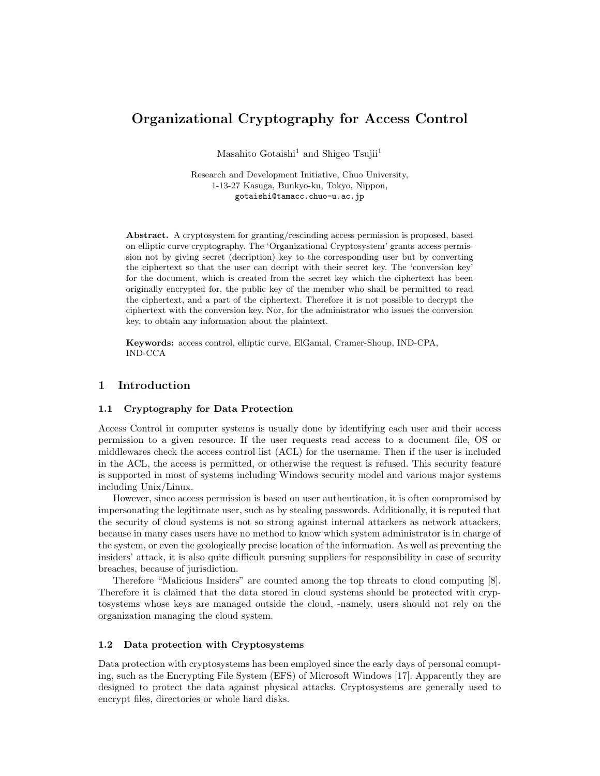# **Organizational Cryptography for Access Control**

Masahito Gotaishi<sup>1</sup> and Shigeo Tsujii<sup>1</sup>

Research and Development Initiative, Chuo University, 1-13-27 Kasuga, Bunkyo-ku, Tokyo, Nippon, gotaishi@tamacc.chuo-u.ac.jp

**Abstract.** A cryptosystem for granting/rescinding access permission is proposed, based on elliptic curve cryptography. The 'Organizational Cryptosystem' grants access permission not by giving secret (decription) key to the corresponding user but by converting the ciphertext so that the user can decript with their secret key. The 'conversion key' for the document, which is created from the secret key which the ciphertext has been originally encrypted for, the public key of the member who shall be permitted to read the ciphertext, and a part of the ciphertext. Therefore it is not possible to decrypt the ciphertext with the conversion key. Nor, for the administrator who issues the conversion key, to obtain any information about the plaintext.

**Keywords:** access control, elliptic curve, ElGamal, Cramer-Shoup, IND-CPA, IND-CCA

# **1 Introduction**

#### **1.1 Cryptography for Data Protection**

Access Control in computer systems is usually done by identifying each user and their access permission to a given resource. If the user requests read access to a document file, OS or middlewares check the access control list (ACL) for the username. Then if the user is included in the ACL, the access is permitted, or otherwise the request is refused. This security feature is supported in most of systems including Windows security model and various major systems including Unix/Linux.

However, since access permission is based on user authentication, it is often compromised by impersonating the legitimate user, such as by stealing passwords. Additionally, it is reputed that the security of cloud systems is not so strong against internal attackers as network attackers, because in many cases users have no method to know which system administrator is in charge of the system, or even the geologically precise location of the information. As well as preventing the insiders' attack, it is also quite difficult pursuing suppliers for responsibility in case of security breaches, because of jurisdiction.

Therefore "Malicious Insiders" are counted among the top threats to cloud computing [8]. Therefore it is claimed that the data stored in cloud systems should be protected with cryptosystems whose keys are managed outside the cloud, -namely, users should not rely on the organization managing the cloud system.

### **1.2 Data protection with Cryptosystems**

Data protection with cryptosystems has been employed since the early days of personal comupting, such as the Encrypting File System (EFS) of Microsoft Windows [17]. Apparently they are designed to protect the data against physical attacks. Cryptosystems are generally used to encrypt files, directories or whole hard disks.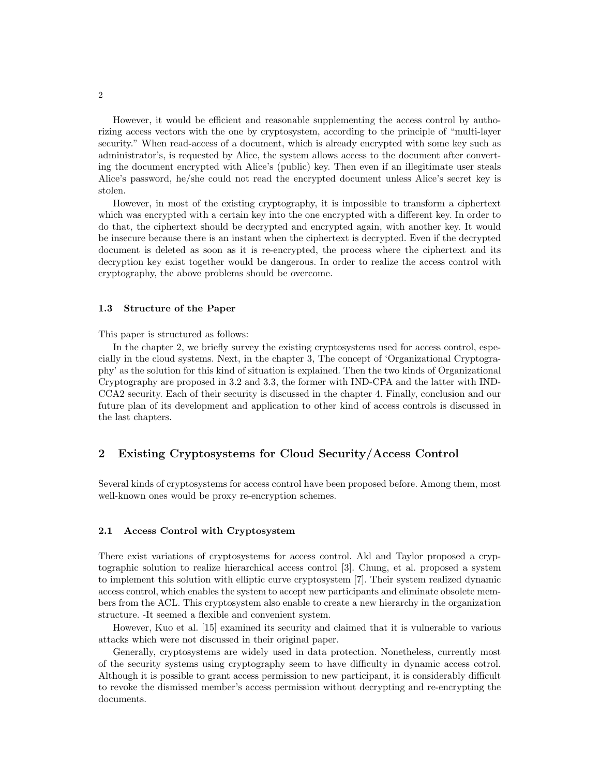However, it would be efficient and reasonable supplementing the access control by authorizing access vectors with the one by cryptosystem, according to the principle of "multi-layer security." When read-access of a document, which is already encrypted with some key such as administrator's, is requested by Alice, the system allows access to the document after converting the document encrypted with Alice's (public) key. Then even if an illegitimate user steals Alice's password, he/she could not read the encrypted document unless Alice's secret key is stolen.

However, in most of the existing cryptography, it is impossible to transform a ciphertext which was encrypted with a certain key into the one encrypted with a different key. In order to do that, the ciphertext should be decrypted and encrypted again, with another key. It would be insecure because there is an instant when the ciphertext is decrypted. Even if the decrypted document is deleted as soon as it is re-encrypted, the process where the ciphertext and its decryption key exist together would be dangerous. In order to realize the access control with cryptography, the above problems should be overcome.

#### **1.3 Structure of the Paper**

This paper is structured as follows:

In the chapter 2, we briefly survey the existing cryptosystems used for access control, especially in the cloud systems. Next, in the chapter 3, The concept of 'Organizational Cryptography' as the solution for this kind of situation is explained. Then the two kinds of Organizational Cryptography are proposed in 3.2 and 3.3, the former with IND-CPA and the latter with IND-CCA2 security. Each of their security is discussed in the chapter 4. Finally, conclusion and our future plan of its development and application to other kind of access controls is discussed in the last chapters.

# **2 Existing Cryptosystems for Cloud Security/Access Control**

Several kinds of cryptosystems for access control have been proposed before. Among them, most well-known ones would be proxy re-encryption schemes.

# **2.1 Access Control with Cryptosystem**

There exist variations of cryptosystems for access control. Akl and Taylor proposed a cryptographic solution to realize hierarchical access control [3]. Chung, et al. proposed a system to implement this solution with elliptic curve cryptosystem [7]. Their system realized dynamic access control, which enables the system to accept new participants and eliminate obsolete members from the ACL. This cryptosystem also enable to create a new hierarchy in the organization structure. -It seemed a flexible and convenient system.

However, Kuo et al. [15] examined its security and claimed that it is vulnerable to various attacks which were not discussed in their original paper.

Generally, cryptosystems are widely used in data protection. Nonetheless, currently most of the security systems using cryptography seem to have difficulty in dynamic access cotrol. Although it is possible to grant access permission to new participant, it is considerably difficult to revoke the dismissed member's access permission without decrypting and re-encrypting the documents.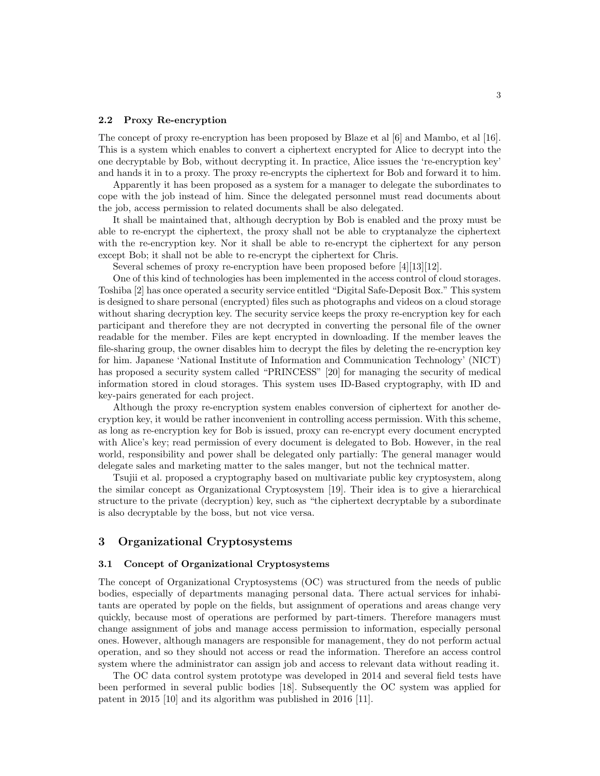#### **2.2 Proxy Re-encryption**

The concept of proxy re-encryption has been proposed by Blaze et al [6] and Mambo, et al [16]. This is a system which enables to convert a ciphertext encrypted for Alice to decrypt into the one decryptable by Bob, without decrypting it. In practice, Alice issues the 're-encryption key' and hands it in to a proxy. The proxy re-encrypts the ciphertext for Bob and forward it to him.

Apparently it has been proposed as a system for a manager to delegate the subordinates to cope with the job instead of him. Since the delegated personnel must read documents about the job, access permission to related documents shall be also delegated.

It shall be maintained that, although decryption by Bob is enabled and the proxy must be able to re-encrypt the ciphertext, the proxy shall not be able to cryptanalyze the ciphertext with the re-encryption key. Nor it shall be able to re-encrypt the ciphertext for any person except Bob; it shall not be able to re-encrypt the ciphertext for Chris.

Several schemes of proxy re-encryption have been proposed before [4][13][12].

One of this kind of technologies has been implemented in the access control of cloud storages. Toshiba [2] has once operated a security service entitled "Digital Safe-Deposit Box." This system is designed to share personal (encrypted) files such as photographs and videos on a cloud storage without sharing decryption key. The security service keeps the proxy re-encryption key for each participant and therefore they are not decrypted in converting the personal file of the owner readable for the member. Files are kept encrypted in downloading. If the member leaves the file-sharing group, the owner disables him to decrypt the files by deleting the re-encryption key for him. Japanese 'National Institute of Information and Communication Technology' (NICT) has proposed a security system called "PRINCESS" [20] for managing the security of medical information stored in cloud storages. This system uses ID-Based cryptography, with ID and key-pairs generated for each project.

Although the proxy re-encryption system enables conversion of ciphertext for another decryption key, it would be rather inconvenient in controlling access permission. With this scheme, as long as re-encryption key for Bob is issued, proxy can re-encrypt every document encrypted with Alice's key; read permission of every document is delegated to Bob. However, in the real world, responsibility and power shall be delegated only partially: The general manager would delegate sales and marketing matter to the sales manger, but not the technical matter.

Tsujii et al. proposed a cryptography based on multivariate public key cryptosystem, along the similar concept as Organizational Cryptosystem [19]. Their idea is to give a hierarchical structure to the private (decryption) key, such as "the ciphertext decryptable by a subordinate is also decryptable by the boss, but not vice versa.

### **3 Organizational Cryptosystems**

#### **3.1 Concept of Organizational Cryptosystems**

The concept of Organizational Cryptosystems (OC) was structured from the needs of public bodies, especially of departments managing personal data. There actual services for inhabitants are operated by pople on the fields, but assignment of operations and areas change very quickly, because most of operations are performed by part-timers. Therefore managers must change assignment of jobs and manage access permission to information, especially personal ones. However, although managers are responsible for management, they do not perform actual operation, and so they should not access or read the information. Therefore an access control system where the administrator can assign job and access to relevant data without reading it.

The OC data control system prototype was developed in 2014 and several field tests have been performed in several public bodies [18]. Subsequently the OC system was applied for patent in 2015 [10] and its algorithm was published in 2016 [11].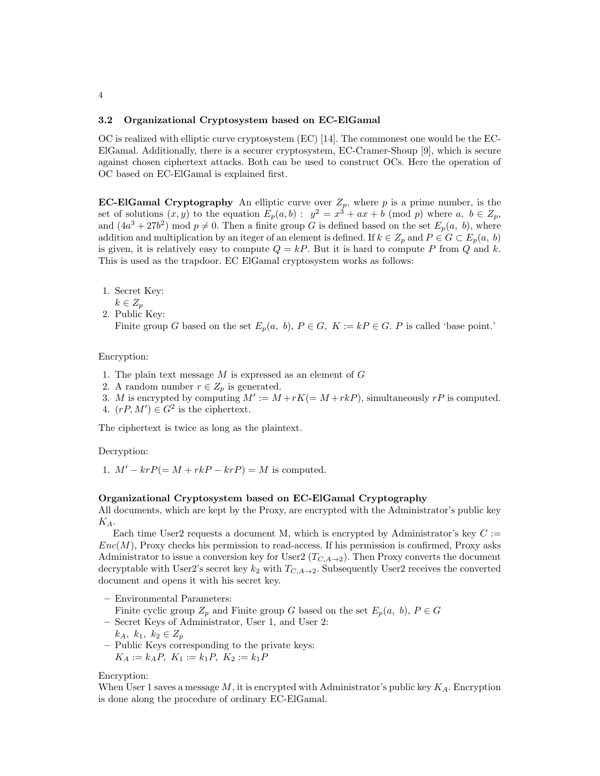#### **3.2 Organizational Cryptosystem based on EC-ElGamal**

OC is realized with elliptic curve cryptosystem (EC) [14]. The commonest one would be the EC-ElGamal. Additionally, there is a securer cryptosystem, EC-Cramer-Shoup [9], which is secure against chosen ciphertext attacks. Both can be used to construct OCs. Here the operation of OC based on EC-ElGamal is explained first.

**EC-ElGamal Cryptography** An elliptic curve over  $Z_p$ , where p is a prime number, is the set of solutions  $(x, y)$  to the equation  $E_p(a, b)$ :  $y^2 = x^3 + ax + b \pmod{p}$  where  $a, b \in Z_p$ , and  $(4a^3 + 27b^2)$  mod  $p \neq 0$ . Then a finite group *G* is defined based on the set  $E_p(a, b)$ , where addition and multiplication by an iteger of an element is defined. If  $k \in Z_p$  and  $P \in G \subset E_p(a, b)$ is given, it is relatively easy to compute  $Q = kP$ . But it is hard to compute P from Q and k. This is used as the trapdoor. EC ElGamal cryptosystem works as follows:

- 1. Secret Key:
- *k ∈ Z<sup>p</sup>*
- 2. Public Key:

Finite group *G* based on the set  $E_p(a, b)$ ,  $P \in G$ ,  $K := kP \in G$ . *P* is called 'base point.'

#### Encryption:

- 1. The plain text message *M* is expressed as an element of *G*
- 2. A random number  $r \in Z_p$  is generated.
- 3. *M* is encrypted by computing  $M' := M + rK (= M + rkP)$ , simultaneously *rP* is computed. 4.  $(rP, M') \in G^2$  is the ciphertext.
- 

The ciphertext is twice as long as the plaintext.

Decryption:

1.  $M' - krP(= M + rkP - krP) = M$  is computed.

#### **Organizational Cryptosystem based on EC-ElGamal Cryptography**

All documents, which are kept by the Proxy, are encrypted with the Administrator's public key *KA*.

Each time User2 requests a document M, which is encrypted by Administrator's key  $C :=$  $Enc(M)$ , Proxy checks his permission to read-access. If his permission is confirmed, Proxy asks Administrator to issue a conversion key for User2 ( $T_{C,A\rightarrow 2}$ ). Then Proxy converts the document decryptable with User2's secret key  $k_2$  with  $T_{C,A\rightarrow 2}$ . Subsequently User2 receives the converted document and opens it with his secret key.

**–** Environmental Parameters:

Finite cyclic group  $Z_p$  and Finite group *G* based on the set  $E_p(a, b)$ ,  $P \in G$ 

**–** Secret Keys of Administrator, User 1, and User 2:

$$
k_A, k_1, k_2 \in Z_p
$$

**–** Public Keys corresponding to the private keys:

 $K_A := k_A P, K_1 := k_1 P, K_2 := k_1 P$ 

Encryption:

When User 1 saves a message *M*, it is encrypted with Administrator's public key *KA*. Encryption is done along the procedure of ordinary EC-ElGamal.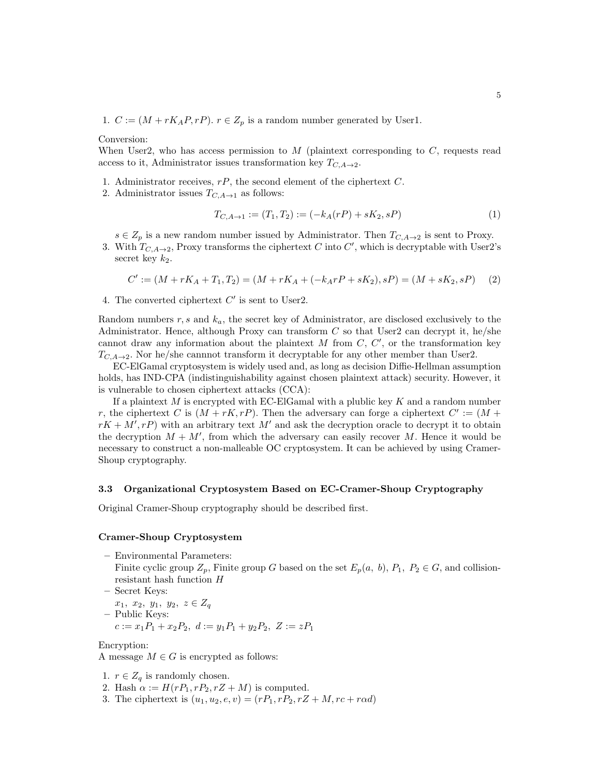1.  $C := (M + rK_AP, rP)$ .  $r \in Z_p$  is a random number generated by User1.

Conversion:

When User2, who has access permission to *M* (plaintext corresponding to *C*, requests read access to it, Administrator issues transformation key  $T_{C,A\rightarrow 2}$ .

- 1. Administrator receives, *rP*, the second element of the ciphertext *C*.
- 2. Administrator issues  $T_{C,A\rightarrow 1}$  as follows:

$$
T_{C,A\to 1} := (T_1, T_2) := (-k_A(rP) + sK_2, sP)
$$
\n<sup>(1)</sup>

*s* ∈ *Z*<sub>*p*</sub> is a new random number issued by Administrator. Then  $T_{C, A→2}$  is sent to Proxy.

3. With  $T_{C,A\rightarrow 2}$ , Proxy transforms the ciphertext *C* into *C'*, which is decryptable with User2's secret key  $k_2$ .

$$
C' := (M + rK_A + T_1, T_2) = (M + rK_A + (-k_A rP + sK_2), sP) = (M + sK_2, sP) \tag{2}
$$

4. The converted ciphertext *C ′* is sent to User2.

Random numbers *r, s* and *ka*, the secret key of Administrator, are disclosed exclusively to the Administrator. Hence, although Proxy can transform *C* so that User2 can decrypt it, he/she cannot draw any information about the plaintext *M* from *C*, *C ′* , or the transformation key  $T_{C,A\rightarrow 2}$ . Nor he/she cannnot transform it decryptable for any other member than User2.

EC-ElGamal cryptosystem is widely used and, as long as decision Diffie-Hellman assumption holds, has IND-CPA (indistinguishability against chosen plaintext attack) security. However, it is vulnerable to chosen ciphertext attacks (CCA):

If a plaintext *M* is encrypted with EC-ElGamal with a plublic key *K* and a random number *r*, the ciphertext *C* is  $(M + rK, rP)$ . Then the adversary can forge a ciphertext  $C' := (M + rS)$  $rK + M', rP$  with an arbitrary text M<sup>'</sup> and ask the decryption oracle to decrypt it to obtain the decryption  $M + M'$ , from which the adversary can easily recover M. Hence it would be necessary to construct a non-malleable OC cryptosystem. It can be achieved by using Cramer-Shoup cryptography.

#### **3.3 Organizational Cryptosystem Based on EC-Cramer-Shoup Cryptography**

Original Cramer-Shoup cryptography should be described first.

#### **Cramer-Shoup Cryptosystem**

- **–** Environmental Parameters: Finite cyclic group  $Z_p$ , Finite group *G* based on the set  $E_p(a, b)$ ,  $P_1$ ,  $P_2 \in G$ , and collision
	- resistant hash function *H*
	- **–** Secret Keys:

*x*1*, x*2*, y*1*, y*2*, z ∈ Z<sup>q</sup>* **–** Public Keys:

 $c := x_1 P_1 + x_2 P_2, d := y_1 P_1 + y_2 P_2, Z := z P_1$ 

Encryption:

A message  $M \in G$  is encrypted as follows:

- 1.  $r \in Z_q$  is randomly chosen.
- 2. Hash  $\alpha := H(rP_1, rP_2, rZ + M)$  is computed.
- 3. The ciphertext is  $(u_1, u_2, e, v) = (rP_1, rP_2, rZ + M, rc + rad)$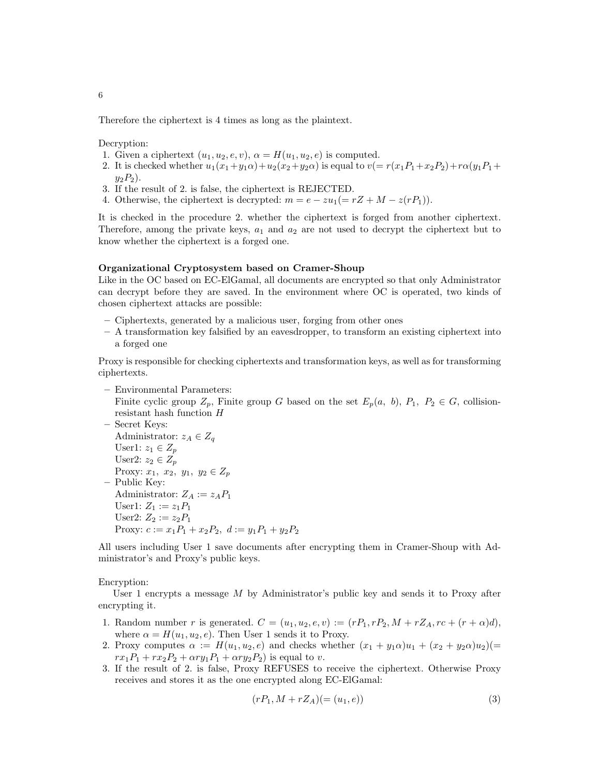Therefore the ciphertext is 4 times as long as the plaintext.

Decryption:

- 1. Given a ciphertext  $(u_1, u_2, e, v)$ ,  $\alpha = H(u_1, u_2, e)$  is computed.
- 2. It is checked whether  $u_1(x_1+y_1\alpha)+u_2(x_2+y_2\alpha)$  is equal to  $v(=r(x_1P_1+x_2P_2)+r\alpha(y_1P_1+\alpha)$  $y_2P_2$ ).
- 3. If the result of 2. is false, the ciphertext is REJECTED.
- 4. Otherwise, the ciphertext is decrypted:  $m = e zu_1(= rZ + M z(rP_1)).$

It is checked in the procedure 2. whether the ciphertext is forged from another ciphertext. Therefore, among the private keys,  $a_1$  and  $a_2$  are not used to decrypt the ciphertext but to know whether the ciphertext is a forged one.

#### **Organizational Cryptosystem based on Cramer-Shoup**

Like in the OC based on EC-ElGamal, all documents are encrypted so that only Administrator can decrypt before they are saved. In the environment where OC is operated, two kinds of chosen ciphertext attacks are possible:

- **–** Ciphertexts, generated by a malicious user, forging from other ones
- **–** A transformation key falsified by an eavesdropper, to transform an existing ciphertext into a forged one

Proxy is responsible for checking ciphertexts and transformation keys, as well as for transforming ciphertexts.

- **–** Environmental Parameters: Finite cyclic group  $Z_p$ , Finite group *G* based on the set  $E_p(a, b)$ ,  $P_1$ ,  $P_2 \in G$ , collisionresistant hash function *H*
- **–** Secret Keys: Administrator:  $z_A \in Z_q$ User1:  $z_1 \in Z_p$ User2:  $z_2 \in Z_p$ Proxy:  $x_1, x_2, y_1, y_2 \in Z_p$ **–** Public Key: Administrator:  $Z_A := z_A P_1$ User1:  $Z_1 := z_1 P_1$ User2:  $Z_2 := z_2 P_1$ Proxy:  $c := x_1 P_1 + x_2 P_2$ ,  $d := y_1 P_1 + y_2 P_2$

All users including User 1 save documents after encrypting them in Cramer-Shoup with Administrator's and Proxy's public keys.

#### Encryption:

User 1 encrypts a message *M* by Administrator's public key and sends it to Proxy after encrypting it.

- 1. Random number *r* is generated.  $C = (u_1, u_2, e, v) := (rP_1, rP_2, M + rZ_A, rc + (r + \alpha)d),$ where  $\alpha = H(u_1, u_2, e)$ . Then User 1 sends it to Proxy.
- 2. Proxy computes  $\alpha := H(u_1, u_2, e)$  and checks whether  $(x_1 + y_1 \alpha)u_1 + (x_2 + y_2 \alpha)u_2$ )(=  $rx_1P_1 + rx_2P_2 + \alpha ry_1P_1 + \alpha ry_2P_2$ ) is equal to *v*.
- 3. If the result of 2. is false, Proxy REFUSES to receive the ciphertext. Otherwise Proxy receives and stores it as the one encrypted along EC-ElGamal:

$$
(rP_1, M + rZ_A)(= (u_1, e))
$$
\n(3)

6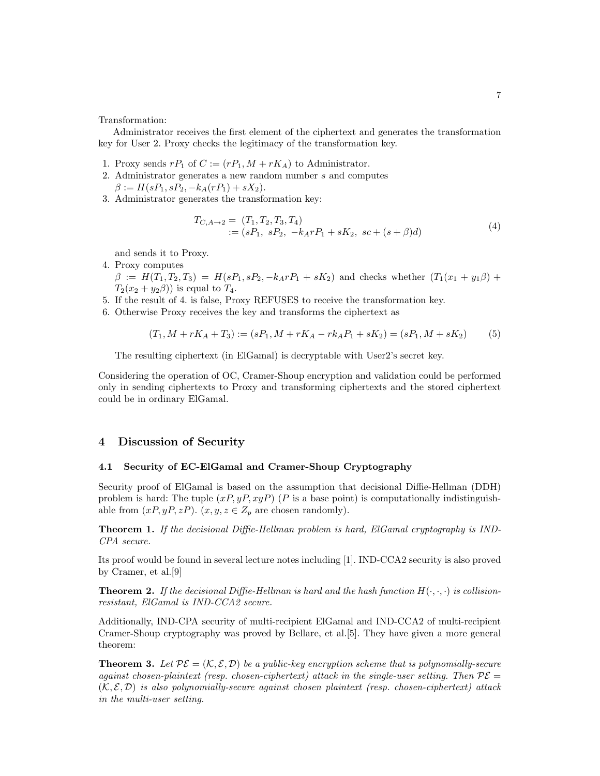Transformation:

Administrator receives the first element of the ciphertext and generates the transformation key for User 2. Proxy checks the legitimacy of the transformation key.

- 1. Proxy sends  $rP_1$  of  $C := (rP_1, M + rK_A)$  to Administrator.
- 2. Administrator generates a new random number *s* and computes  $\beta := H(sP_1, sP_2, -k_A(rP_1) + sX_2).$
- 3. Administrator generates the transformation key:

$$
T_{C,A\to 2} = (T_1, T_2, T_3, T_4)
$$
  
 :=  $(sP_1, sP_2, -k_A rP_1 + sK_2, sc + (s + \beta)d)$  (4)

and sends it to Proxy.

4. Proxy computes

 $\beta := H(T_1, T_2, T_3) = H(sP_1, sP_2, -k_A rP_1 + sK_2)$  and checks whether  $(T_1(x_1 + y_1\beta) +$  $T_2(x_2 + y_2\beta)$  is equal to  $T_4$ .

- 5. If the result of 4. is false, Proxy REFUSES to receive the transformation key.
- 6. Otherwise Proxy receives the key and transforms the ciphertext as

$$
(T_1, M + rK_A + T_3) := (sP_1, M + rK_A - rk_A P_1 + sK_2) = (sP_1, M + sK_2)
$$
(5)

The resulting ciphertext (in ElGamal) is decryptable with User2's secret key.

Considering the operation of OC, Cramer-Shoup encryption and validation could be performed only in sending ciphertexts to Proxy and transforming ciphertexts and the stored ciphertext could be in ordinary ElGamal.

# **4 Discussion of Security**

### **4.1 Security of EC-ElGamal and Cramer-Shoup Cryptography**

Security proof of ElGamal is based on the assumption that decisional Diffie-Hellman (DDH) problem is hard: The tuple  $(xP, yP, xyP)$  (*P* is a base point) is computationally indistinguishable from  $(xP, yP, zP)$ .  $(x, y, z \in Z_p$  are chosen randomly).

**Theorem 1.** *If the decisional Diffie-Hellman problem is hard, ElGamal cryptography is IND-CPA secure.*

Its proof would be found in several lecture notes including [1]. IND-CCA2 security is also proved by Cramer, et al.[9]

**Theorem 2.** If the decisional Diffie-Hellman is hard and the hash function  $H(\cdot, \cdot, \cdot)$  is collision*resistant, ElGamal is IND-CCA2 secure.*

Additionally, IND-CPA security of multi-recipient ElGamal and IND-CCA2 of multi-recipient Cramer-Shoup cryptography was proved by Bellare, et al.[5]. They have given a more general theorem:

**Theorem 3.** Let  $\mathcal{PE} = (\mathcal{K}, \mathcal{E}, \mathcal{D})$  be a public-key encryption scheme that is polynomially-secure *against chosen-plaintext (resp. chosen-ciphertext) attack in the single-user setting. Then*  $\mathcal{P}\mathcal{E}$  =  $(K, \mathcal{E}, \mathcal{D})$  *is also polynomially-secure against chosen plaintext (resp. chosen-ciphertext) attack in the multi-user setting.*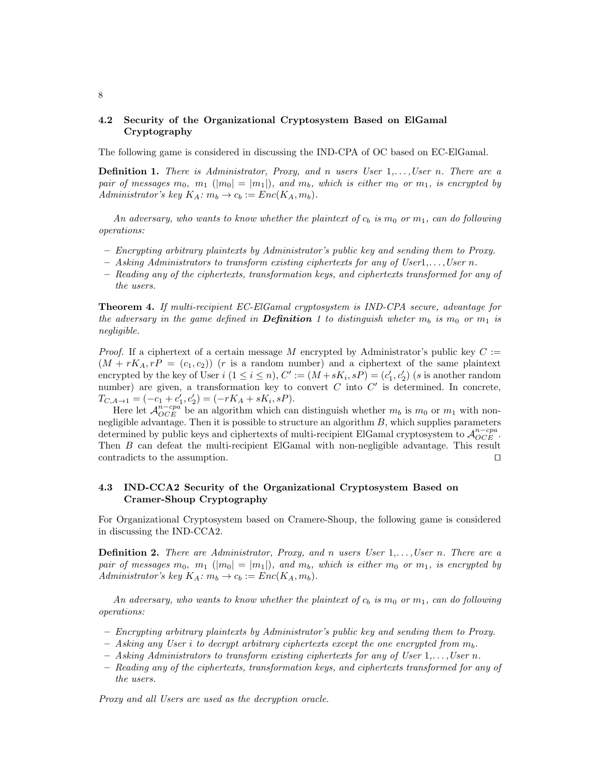# **4.2 Security of the Organizational Cryptosystem Based on ElGamal Cryptography**

The following game is considered in discussing the IND-CPA of OC based on EC-ElGamal.

**Definition 1.** *There is Administrator, Proxy, and n users User* 1*,. . . ,User n. There are a pair of messages*  $m_0$ ,  $m_1$  ( $|m_0| = |m_1|$ ), and  $m_b$ , which is either  $m_0$  or  $m_1$ , is encrypted by *Administrator's key*  $K_A$ :  $m_b \rightarrow c_b$  :=  $Enc(K_A, m_b)$ .

An adversary, who wants to know whether the plaintext of  $c_b$  is  $m_0$  or  $m_1$ , can do following *operations:*

- **–** *Encrypting arbitrary plaintexts by Administrator's public key and sending them to Proxy.*
- **–** *Asking Administrators to transform existing ciphertexts for any of User*1*,. . . ,User n.*
- **–** *Reading any of the ciphertexts, transformation keys, and ciphertexts transformed for any of the users.*

**Theorem 4.** *If multi-recipient EC-ElGamal cryptosystem is IND-CPA secure, advantage for the adversary in the game defined in Definition 1 to distinguish wheter*  $m_b$  *is*  $m_0$  *or*  $m_1$  *is negligible.*

*Proof.* If a ciphertext of a certain message M encrypted by Administrator's public key  $C :=$  $(M + rK_A, rP = (c_1, c_2))$  (*r* is a random number) and a ciphertext of the same plaintext encrypted by the key of User  $i$   $(1 \le i \le n)$ ,  $C' := (M + sK_i, sP) = (c'_1, c'_2)$  (*s* is another random number) are given, a transformation key to convert *C* into *C'* is determined. In concrete,  $T_{C,A\to 1} = (-c_1 + c'_1, c'_2) = (-rK_A + sK_i, sP).$ 

Here let  $\mathcal{A}_{OCE}^{n-cpa}$  be an algorithm which can distinguish whether  $m_b$  is  $m_0$  or  $m_1$  with nonnegligible advantage. Then it is possible to structure an algorithm *B*, which supplies parameters determined by public keys and ciphertexts of multi-recipient ElGamal cryptosystem to  $A_{OCE}^{n-cpa}$ . Then *B* can defeat the multi-recipient ElGamal with non-negligible advantage. This result contradicts to the assumption. *⊓⊔*

# **4.3 IND-CCA2 Security of the Organizational Cryptosystem Based on Cramer-Shoup Cryptography**

For Organizational Cryptosystem based on Cramere-Shoup, the following game is considered in discussing the IND-CCA2.

**Definition 2.** *There are Administrator, Proxy, and n users User* 1*,. . . ,User n. There are a pair of messages*  $m_0$ ,  $m_1$  ( $|m_0| = |m_1|$ ), and  $m_b$ , which is either  $m_0$  or  $m_1$ , is encrypted by *Administrator's key*  $K_A$ *:*  $m_b \rightarrow c_b$  :=  $Enc(K_A, m_b)$ .

An adversary, who wants to know whether the plaintext of  $c_b$  is  $m_0$  or  $m_1$ , can do following *operations:*

- **–** *Encrypting arbitrary plaintexts by Administrator's public key and sending them to Proxy.*
- **–** *Asking any User i to decrypt arbitrary ciphertexts except the one encrypted from mb.*
- **–** *Asking Administrators to transform existing ciphertexts for any of User* 1*,. . . ,User n.*
- **–** *Reading any of the ciphertexts, transformation keys, and ciphertexts transformed for any of the users.*

*Proxy and all Users are used as the decryption oracle.*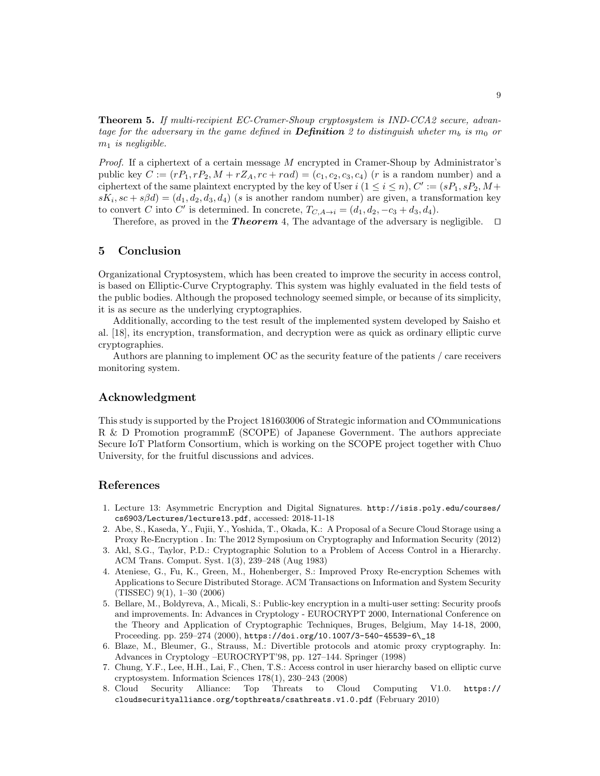**Theorem 5.** *If multi-recipient EC-Cramer-Shoup cryptosystem is IND-CCA2 secure, advantage for the adversary in the game defined in Definition* 2 to distinguish wheter  $m_b$  is  $m_0$  or *m*<sup>1</sup> *is negligible.*

*Proof.* If a ciphertext of a certain message *M* encrypted in Cramer-Shoup by Administrator's public key  $C := (rP_1, rP_2, M + rZ_A, rc + r\alpha d) = (c_1, c_2, c_3, c_4)$  (*r* is a random number) and a ciphertext of the same plaintext encrypted by the key of User  $i$  ( $1 \le i \le n$ ),  $C' := (sP_1, sP_2, M +$  $sK_i$ ,  $sc + s\beta d$ ) = ( $d_1, d_2, d_3, d_4$ ) (*s* is another random number) are given, a transformation key to convert *C* into *C'* is determined. In concrete,  $T_{C,A\to i} = (d_1, d_2, -c_3 + d_3, d_4)$ .

Therefore, as proved in the *T heorem* 4, The advantage of the adversary is negligible. *⊓⊔*

### **5 Conclusion**

Organizational Cryptosystem, which has been created to improve the security in access control, is based on Elliptic-Curve Cryptography. This system was highly evaluated in the field tests of the public bodies. Although the proposed technology seemed simple, or because of its simplicity, it is as secure as the underlying cryptographies.

Additionally, according to the test result of the implemented system developed by Saisho et al. [18], its encryption, transformation, and decryption were as quick as ordinary elliptic curve cryptographies.

Authors are planning to implement OC as the security feature of the patients / care receivers monitoring system.

### **Acknowledgment**

This study is supported by the Project 181603006 of Strategic information and COmmunications R & D Promotion programmE (SCOPE) of Japanese Government. The authors appreciate Secure IoT Platform Consortium, which is working on the SCOPE project together with Chuo University, for the fruitful discussions and advices.

# **References**

- 1. Lecture 13: Asymmetric Encryption and Digital Signatures. http://isis.poly.edu/courses/ cs6903/Lectures/lecture13.pdf, accessed: 2018-11-18
- 2. Abe, S., Kaseda, Y., Fujii, Y., Yoshida, T., Okada, K.: A Proposal of a Secure Cloud Storage using a Proxy Re-Encryption . In: The 2012 Symposium on Cryptography and Information Security (2012)
- 3. Akl, S.G., Taylor, P.D.: Cryptographic Solution to a Problem of Access Control in a Hierarchy. ACM Trans. Comput. Syst. 1(3), 239–248 (Aug 1983)
- 4. Ateniese, G., Fu, K., Green, M., Hohenberger, S.: Improved Proxy Re-encryption Schemes with Applications to Secure Distributed Storage. ACM Transactions on Information and System Security (TISSEC) 9(1), 1–30 (2006)
- 5. Bellare, M., Boldyreva, A., Micali, S.: Public-key encryption in a multi-user setting: Security proofs and improvements. In: Advances in Cryptology - EUROCRYPT 2000, International Conference on the Theory and Application of Cryptographic Techniques, Bruges, Belgium, May 14-18, 2000, Proceeding. pp. 259–274 (2000), https://doi.org/10.1007/3-540-45539-6\\_18
- 6. Blaze, M., Bleumer, G., Strauss, M.: Divertible protocols and atomic proxy cryptography. In: Advances in Cryptology –EUROCRYPT'98, pp. 127–144. Springer (1998)
- 7. Chung, Y.F., Lee, H.H., Lai, F., Chen, T.S.: Access control in user hierarchy based on elliptic curve cryptosystem. Information Sciences 178(1), 230–243 (2008)
- 8. Cloud Security Alliance: Top Threats to Cloud Computing V1.0. https:// cloudsecurityalliance.org/topthreats/csathreats.v1.0.pdf (February 2010)